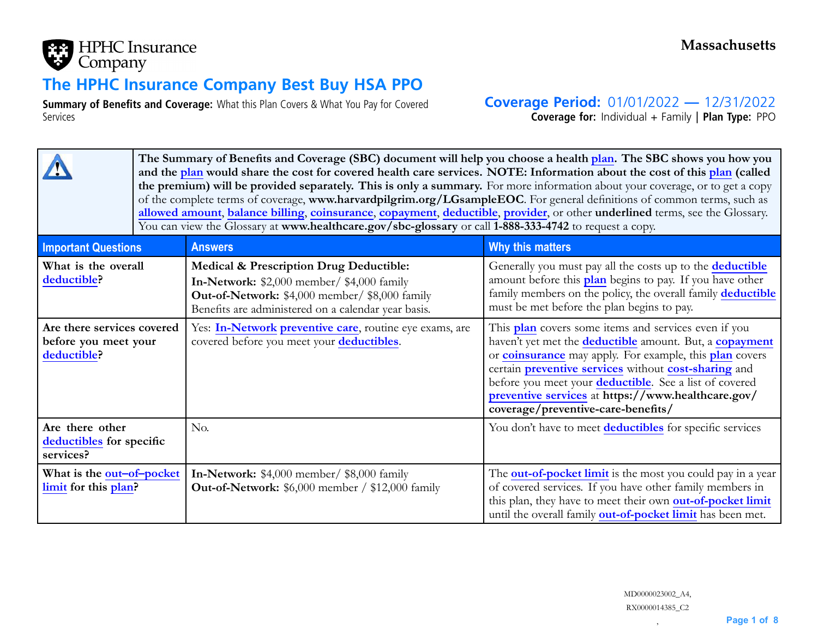

# **The HPHC Insurance Company Best Buy HSA PPO**

**Summary of Benefits and Coverage:** What this Plan Covers & What You Pay for Covered Services

**Coverage Period:** 01/01/2022 **—** 12/31/2022

**Coverage for:** Individual <sup>+</sup> Family | **Plan Type:** PPO

|                                                                   |  | The Summary of Benefits and Coverage (SBC) document will help you choose a health plan. The SBC shows you how you<br>and the plan would share the cost for covered health care services. NOTE: Information about the cost of this plan (called<br>the premium) will be provided separately. This is only a summary. For more information about your coverage, or to get a copy<br>of the complete terms of coverage, www.harvardpilgrim.org/LGsampleEOC. For general definitions of common terms, such as<br>allowed amount, balance billing, coinsurance, copayment, deductible, provider, or other underlined terms, see the Glossary.<br>You can view the Glossary at www.healthcare.gov/sbc-glossary or call 1-888-333-4742 to request a copy. |                                                                                                                                                                                                                                                                                                                                                                                                        |  |  |  |  |  |
|-------------------------------------------------------------------|--|----------------------------------------------------------------------------------------------------------------------------------------------------------------------------------------------------------------------------------------------------------------------------------------------------------------------------------------------------------------------------------------------------------------------------------------------------------------------------------------------------------------------------------------------------------------------------------------------------------------------------------------------------------------------------------------------------------------------------------------------------|--------------------------------------------------------------------------------------------------------------------------------------------------------------------------------------------------------------------------------------------------------------------------------------------------------------------------------------------------------------------------------------------------------|--|--|--|--|--|
| <b>Important Questions</b>                                        |  | <b>Answers</b>                                                                                                                                                                                                                                                                                                                                                                                                                                                                                                                                                                                                                                                                                                                                     | Why this matters                                                                                                                                                                                                                                                                                                                                                                                       |  |  |  |  |  |
| What is the overall<br>deductible?                                |  | <b>Medical &amp; Prescription Drug Deductible:</b><br>In-Network: \$2,000 member/ \$4,000 family<br>Out-of-Network: \$4,000 member/ \$8,000 family<br>Benefits are administered on a calendar year basis.                                                                                                                                                                                                                                                                                                                                                                                                                                                                                                                                          | Generally you must pay all the costs up to the <b>deductible</b><br>amount before this plan begins to pay. If you have other<br>family members on the policy, the overall family deductible<br>must be met before the plan begins to pay.                                                                                                                                                              |  |  |  |  |  |
| Are there services covered<br>before you meet your<br>deductible? |  | Yes: In-Network preventive care, routine eye exams, are<br>covered before you meet your deductibles.                                                                                                                                                                                                                                                                                                                                                                                                                                                                                                                                                                                                                                               | This plan covers some items and services even if you<br>haven't yet met the <b>deductible</b> amount. But, a <b>copayment</b><br>or coinsurance may apply. For example, this plan covers<br>certain preventive services without cost-sharing and<br>before you meet your deductible. See a list of covered<br>preventive services at https://www.healthcare.gov/<br>coverage/preventive-care-benefits/ |  |  |  |  |  |
| Are there other<br>deductibles for specific<br>services?          |  | No.                                                                                                                                                                                                                                                                                                                                                                                                                                                                                                                                                                                                                                                                                                                                                | You don't have to meet deductibles for specific services                                                                                                                                                                                                                                                                                                                                               |  |  |  |  |  |
| What is the out-of-pocket<br>limit for this plan?                 |  | In-Network: \$4,000 member/ \$8,000 family<br>Out-of-Network: \$6,000 member / \$12,000 family                                                                                                                                                                                                                                                                                                                                                                                                                                                                                                                                                                                                                                                     | The <b>out-of-pocket limit</b> is the most you could pay in a year<br>of covered services. If you have other family members in<br>this plan, they have to meet their own out-of-pocket limit<br>until the overall family out-of-pocket limit has been met.                                                                                                                                             |  |  |  |  |  |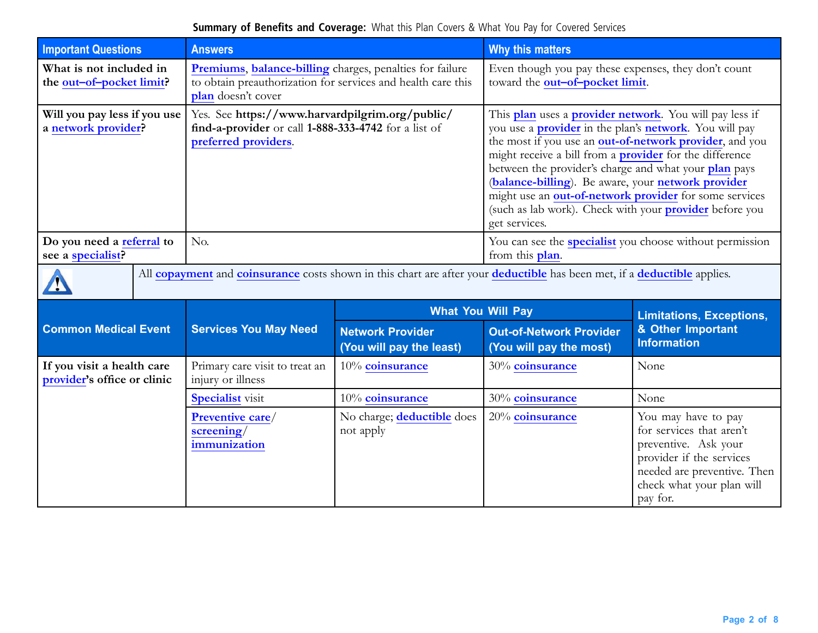| <b>Important Questions</b>                                | <b>Answers</b>                                                                                                                                 |                                                     | Why this matters                                                                                                                                                                                                                                                                                                                                                                                                                                                                                                   |                                                                                                                                                                             |  |
|-----------------------------------------------------------|------------------------------------------------------------------------------------------------------------------------------------------------|-----------------------------------------------------|--------------------------------------------------------------------------------------------------------------------------------------------------------------------------------------------------------------------------------------------------------------------------------------------------------------------------------------------------------------------------------------------------------------------------------------------------------------------------------------------------------------------|-----------------------------------------------------------------------------------------------------------------------------------------------------------------------------|--|
| What is not included in<br>the out-of-pocket limit?       | Premiums, balance-billing charges, penalties for failure<br>to obtain preauthorization for services and health care this<br>plan doesn't cover |                                                     | Even though you pay these expenses, they don't count<br>toward the out-of-pocket limit.                                                                                                                                                                                                                                                                                                                                                                                                                            |                                                                                                                                                                             |  |
| Will you pay less if you use<br>a network provider?       | Yes. See https://www.harvardpilgrim.org/public/<br>find-a-provider or call 1-888-333-4742 for a list of<br>preferred providers.                |                                                     | This plan uses a provider network. You will pay less if<br>you use a <b>provider</b> in the plan's <b>network</b> . You will pay<br>the most if you use an out-of-network provider, and you<br>might receive a bill from a <b>provider</b> for the difference<br>between the provider's charge and what your plan pays<br>(balance-billing). Be aware, your network provider<br>might use an out-of-network provider for some services<br>(such as lab work). Check with your provider before you<br>get services. |                                                                                                                                                                             |  |
| Do you need a referral to<br>see a specialist?            | No.                                                                                                                                            |                                                     | You can see the <b>specialist</b> you choose without permission<br>from this plan.                                                                                                                                                                                                                                                                                                                                                                                                                                 |                                                                                                                                                                             |  |
|                                                           | All copayment and coinsurance costs shown in this chart are after your deductible has been met, if a deductible applies.                       |                                                     |                                                                                                                                                                                                                                                                                                                                                                                                                                                                                                                    |                                                                                                                                                                             |  |
|                                                           |                                                                                                                                                | <b>What You Will Pay</b>                            |                                                                                                                                                                                                                                                                                                                                                                                                                                                                                                                    | <b>Limitations, Exceptions,</b>                                                                                                                                             |  |
| <b>Common Medical Event</b>                               | <b>Services You May Need</b>                                                                                                                   | <b>Network Provider</b><br>(You will pay the least) | <b>Out-of-Network Provider</b><br>(You will pay the most)                                                                                                                                                                                                                                                                                                                                                                                                                                                          | & Other Important<br><b>Information</b>                                                                                                                                     |  |
| If you visit a health care<br>provider's office or clinic | Primary care visit to treat an<br>injury or illness                                                                                            | 10% coinsurance                                     | 30% coinsurance                                                                                                                                                                                                                                                                                                                                                                                                                                                                                                    | None                                                                                                                                                                        |  |
|                                                           | <b>Specialist</b> visit                                                                                                                        | 10% coinsurance                                     | 30% coinsurance                                                                                                                                                                                                                                                                                                                                                                                                                                                                                                    | None                                                                                                                                                                        |  |
|                                                           | Preventive care/<br>screening/<br>immunization                                                                                                 | No charge; deductible does<br>not apply             | 20% coinsurance                                                                                                                                                                                                                                                                                                                                                                                                                                                                                                    | You may have to pay<br>for services that aren't<br>preventive. Ask your<br>provider if the services<br>needed are preventive. Then<br>check what your plan will<br>pay for. |  |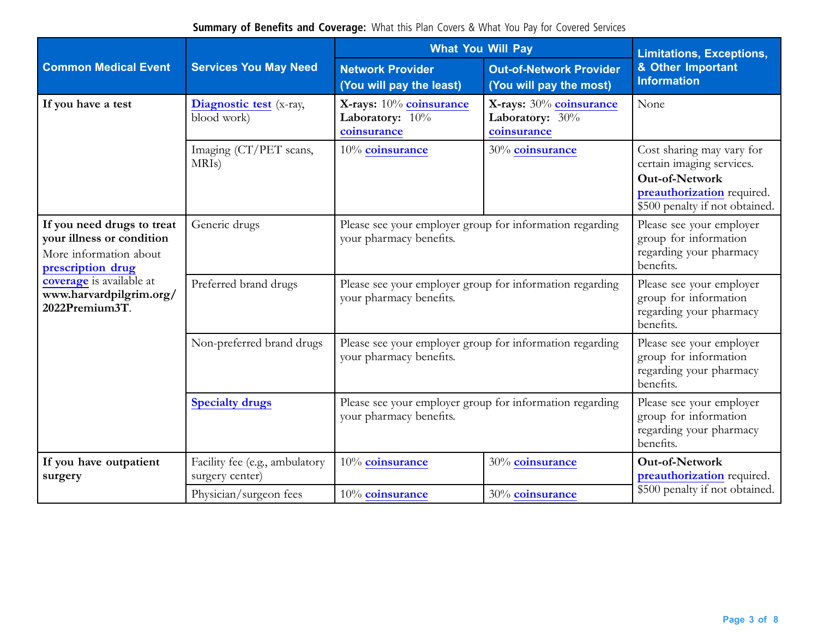|                                                                                                                                                                                 |                                                   | <b>What You Will Pay</b>                                                            | <b>Limitations, Exceptions,</b>                                                           |                                                                                                                                                 |  |
|---------------------------------------------------------------------------------------------------------------------------------------------------------------------------------|---------------------------------------------------|-------------------------------------------------------------------------------------|-------------------------------------------------------------------------------------------|-------------------------------------------------------------------------------------------------------------------------------------------------|--|
| <b>Common Medical Event</b>                                                                                                                                                     | <b>Services You May Need</b>                      | <b>Network Provider</b><br>(You will pay the least)                                 | <b>Out-of-Network Provider</b><br>(You will pay the most)                                 | & Other Important<br><b>Information</b>                                                                                                         |  |
| If you have a test                                                                                                                                                              | Diagnostic test (x-ray,<br>blood work)            | X-rays: 10% coinsurance<br>Laboratory: 10%<br>coinsurance                           | X-rays: 30% coinsurance<br>Laboratory: 30%<br>coinsurance                                 |                                                                                                                                                 |  |
|                                                                                                                                                                                 | Imaging (CT/PET scans,<br>MRI <sub>s</sub> )      | 10% coinsurance                                                                     | 30% coinsurance                                                                           | Cost sharing may vary for<br>certain imaging services.<br><b>Out-of-Network</b><br>preauthorization required.<br>\$500 penalty if not obtained. |  |
| If you need drugs to treat<br>your illness or condition<br>More information about<br>prescription drug<br>coverage is available at<br>www.harvardpilgrim.org/<br>2022Premium3T. | Generic drugs                                     | Please see your employer group for information regarding<br>your pharmacy benefits. | Please see your employer<br>group for information<br>regarding your pharmacy<br>benefits. |                                                                                                                                                 |  |
|                                                                                                                                                                                 | Preferred brand drugs                             | Please see your employer group for information regarding<br>your pharmacy benefits. | Please see your employer<br>group for information<br>regarding your pharmacy<br>benefits. |                                                                                                                                                 |  |
|                                                                                                                                                                                 | Non-preferred brand drugs                         | Please see your employer group for information regarding<br>your pharmacy benefits. | Please see your employer<br>group for information<br>regarding your pharmacy<br>benefits. |                                                                                                                                                 |  |
|                                                                                                                                                                                 | <b>Specialty drugs</b>                            | Please see your employer group for information regarding<br>your pharmacy benefits. | Please see your employer<br>group for information<br>regarding your pharmacy<br>benefits. |                                                                                                                                                 |  |
| If you have outpatient<br>surgery                                                                                                                                               | Facility fee (e.g., ambulatory<br>surgery center) | 10% coinsurance                                                                     | 30% coinsurance                                                                           | Out-of-Network<br>preauthorization required.<br>\$500 penalty if not obtained.                                                                  |  |
|                                                                                                                                                                                 | Physician/surgeon fees                            | 10% coinsurance                                                                     | 30% coinsurance                                                                           |                                                                                                                                                 |  |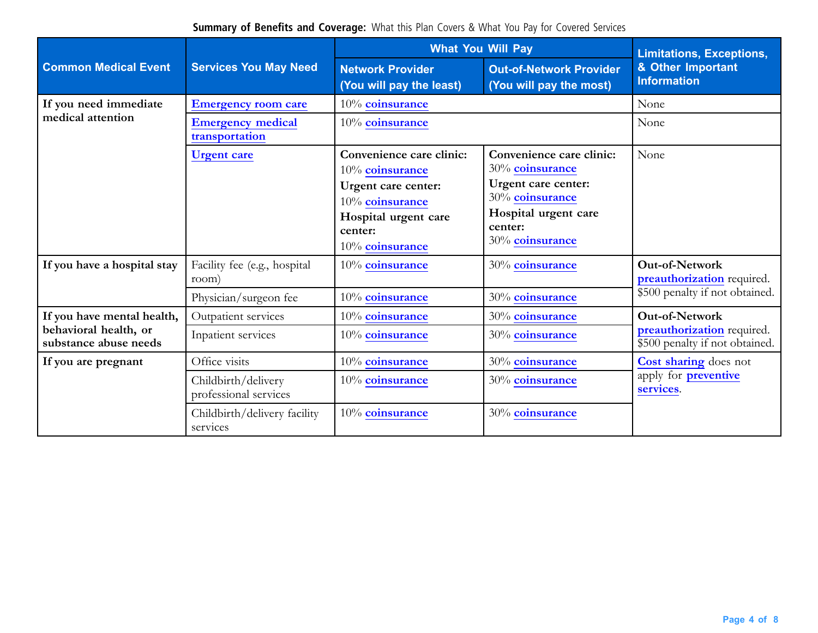|                                                |                                              | <b>What You Will Pay</b>                                                                                                                    | <b>Limitations, Exceptions,</b>                                                                                                             |                                                                                       |  |
|------------------------------------------------|----------------------------------------------|---------------------------------------------------------------------------------------------------------------------------------------------|---------------------------------------------------------------------------------------------------------------------------------------------|---------------------------------------------------------------------------------------|--|
| <b>Common Medical Event</b>                    | <b>Services You May Need</b>                 | <b>Network Provider</b><br>(You will pay the least)                                                                                         | <b>Out-of-Network Provider</b><br>(You will pay the most)                                                                                   | & Other Important<br><b>Information</b>                                               |  |
| If you need immediate                          | <b>Emergency room care</b>                   | 10% coinsurance                                                                                                                             |                                                                                                                                             | None                                                                                  |  |
| medical attention                              | <b>Emergency medical</b><br>transportation   | 10% coinsurance                                                                                                                             | None                                                                                                                                        |                                                                                       |  |
|                                                | <b>Urgent</b> care                           | Convenience care clinic:<br>10% coinsurance<br>Urgent care center:<br>10% coinsurance<br>Hospital urgent care<br>center:<br>10% coinsurance | Convenience care clinic:<br>30% coinsurance<br>Urgent care center:<br>30% coinsurance<br>Hospital urgent care<br>center:<br>30% coinsurance | None                                                                                  |  |
| If you have a hospital stay                    | Facility fee (e.g., hospital<br>room)        | 10% coinsurance                                                                                                                             | 30% coinsurance                                                                                                                             | <b>Out-of-Network</b><br>preauthorization required.<br>\$500 penalty if not obtained. |  |
|                                                | Physician/surgeon fee                        | 10% coinsurance                                                                                                                             | 30% coinsurance                                                                                                                             |                                                                                       |  |
| If you have mental health,                     | Outpatient services                          | 10% coinsurance                                                                                                                             | 30% coinsurance                                                                                                                             | <b>Out-of-Network</b>                                                                 |  |
| behavioral health, or<br>substance abuse needs | Inpatient services                           | 10% coinsurance                                                                                                                             | 30% coinsurance                                                                                                                             | preauthorization required.<br>\$500 penalty if not obtained.                          |  |
| If you are pregnant                            | Office visits                                | 10% coinsurance                                                                                                                             | 30% coinsurance                                                                                                                             | <b>Cost sharing does not</b>                                                          |  |
|                                                | Childbirth/delivery<br>professional services | 10% coinsurance                                                                                                                             | 30% coinsurance                                                                                                                             | apply for <b>preventive</b><br>services.                                              |  |
|                                                | Childbirth/delivery facility<br>services     | 10% coinsurance                                                                                                                             | 30% coinsurance                                                                                                                             |                                                                                       |  |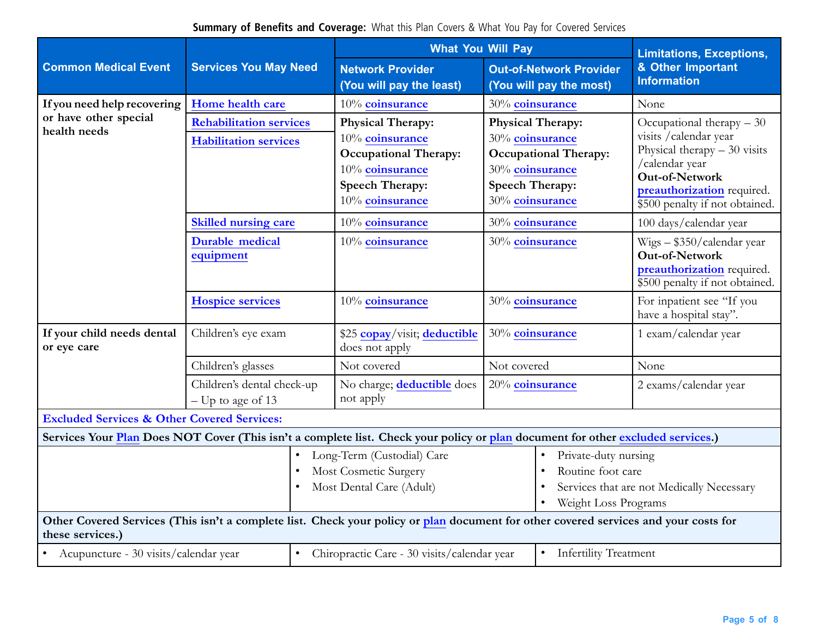|                                                                                                                                 | <b>Services You May Need</b>                                                                                                         |  | <b>What You Will Pay</b>                                                                                                                    |                                                                                                                                             |                                                                                                                | <b>Limitations, Exceptions,</b>                                                                                                                                                          |  |
|---------------------------------------------------------------------------------------------------------------------------------|--------------------------------------------------------------------------------------------------------------------------------------|--|---------------------------------------------------------------------------------------------------------------------------------------------|---------------------------------------------------------------------------------------------------------------------------------------------|----------------------------------------------------------------------------------------------------------------|------------------------------------------------------------------------------------------------------------------------------------------------------------------------------------------|--|
| <b>Common Medical Event</b>                                                                                                     |                                                                                                                                      |  | <b>Network Provider</b><br>(You will pay the least)                                                                                         |                                                                                                                                             | <b>Out-of-Network Provider</b><br>(You will pay the most)                                                      | & Other Important<br><b>Information</b>                                                                                                                                                  |  |
| If you need help recovering                                                                                                     | Home health care                                                                                                                     |  | 10% coinsurance                                                                                                                             | 30% coinsurance                                                                                                                             |                                                                                                                | None                                                                                                                                                                                     |  |
| or have other special<br>health needs                                                                                           | <b>Rehabilitation services</b><br><b>Habilitation services</b>                                                                       |  | <b>Physical Therapy:</b><br>10% coinsurance<br><b>Occupational Therapy:</b><br>10% coinsurance<br><b>Speech Therapy:</b><br>10% coinsurance | <b>Physical Therapy:</b><br>30% coinsurance<br><b>Occupational Therapy:</b><br>30% coinsurance<br><b>Speech Therapy:</b><br>30% coinsurance |                                                                                                                | Occupational therapy - 30<br>visits / calendar year<br>Physical therapy $-30$ visits<br>/calendar year<br>Out-of-Network<br>preauthorization required.<br>\$500 penalty if not obtained. |  |
|                                                                                                                                 | <b>Skilled nursing care</b>                                                                                                          |  | 10% coinsurance                                                                                                                             | 30% coinsurance                                                                                                                             |                                                                                                                | 100 days/calendar year                                                                                                                                                                   |  |
|                                                                                                                                 | <b>Durable medical</b><br>equipment                                                                                                  |  | 10% coinsurance                                                                                                                             | 30% coinsurance                                                                                                                             |                                                                                                                | Wigs - \$350/calendar year<br>Out-of-Network<br>preauthorization required.<br>\$500 penalty if not obtained.                                                                             |  |
|                                                                                                                                 | <b>Hospice services</b>                                                                                                              |  | 10% coinsurance                                                                                                                             | 30% coinsurance                                                                                                                             |                                                                                                                | For inpatient see "If you<br>have a hospital stay".                                                                                                                                      |  |
| If your child needs dental<br>or eye care                                                                                       | Children's eye exam                                                                                                                  |  | \$25 copay/visit; deductible<br>does not apply                                                                                              | 30% coinsurance                                                                                                                             |                                                                                                                | 1 exam/calendar year                                                                                                                                                                     |  |
|                                                                                                                                 | Children's glasses                                                                                                                   |  | Not covered                                                                                                                                 | Not covered                                                                                                                                 |                                                                                                                | None                                                                                                                                                                                     |  |
|                                                                                                                                 | Children's dental check-up<br>$-$ Up to age of 13                                                                                    |  | No charge; deductible does<br>not apply                                                                                                     | 20% coinsurance                                                                                                                             |                                                                                                                | 2 exams/calendar year                                                                                                                                                                    |  |
| <b>Excluded Services &amp; Other Covered Services:</b>                                                                          |                                                                                                                                      |  |                                                                                                                                             |                                                                                                                                             |                                                                                                                |                                                                                                                                                                                          |  |
| Services Your Plan Does NOT Cover (This isn't a complete list. Check your policy or plan document for other excluded services.) |                                                                                                                                      |  |                                                                                                                                             |                                                                                                                                             |                                                                                                                |                                                                                                                                                                                          |  |
|                                                                                                                                 |                                                                                                                                      |  | Long-Term (Custodial) Care<br>Most Cosmetic Surgery<br>Most Dental Care (Adult)                                                             |                                                                                                                                             | Private-duty nursing<br>Routine foot care<br>Services that are not Medically Necessary<br>Weight Loss Programs |                                                                                                                                                                                          |  |
| these services.)                                                                                                                | Other Covered Services (This isn't a complete list. Check your policy or plan document for other covered services and your costs for |  |                                                                                                                                             |                                                                                                                                             |                                                                                                                |                                                                                                                                                                                          |  |
| • Acupuncture - 30 visits/calendar year<br>$\bullet$                                                                            |                                                                                                                                      |  | <b>Infertility Treatment</b><br>Chiropractic Care - 30 visits/calendar year<br>$\bullet$                                                    |                                                                                                                                             |                                                                                                                |                                                                                                                                                                                          |  |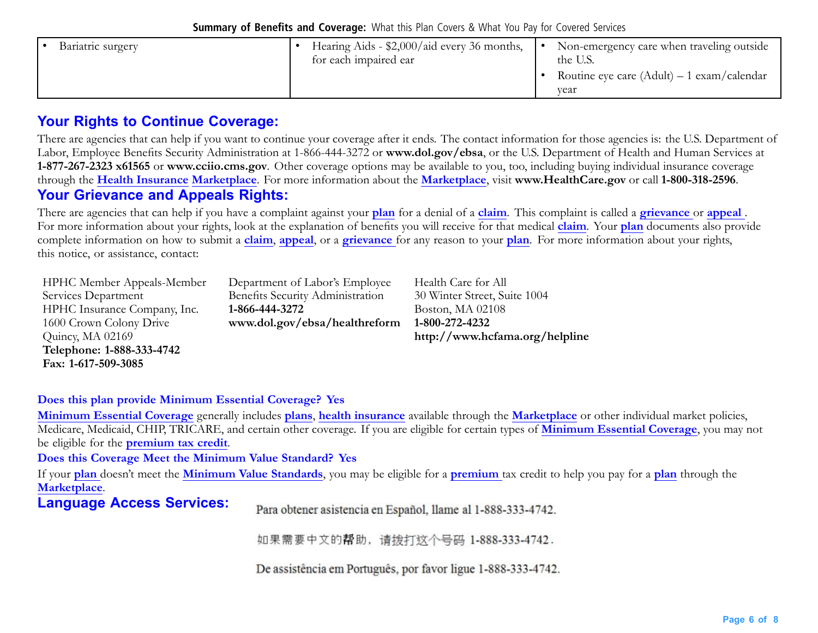| Hearing Aids - \$2,000/aid every 36 months,<br>Bariatric surgery<br>for each impaired ear | Non-emergency care when traveling outside<br>the U.S.<br>Routine eye care $(Adult) - 1$ exam/calendar<br>vear |
|-------------------------------------------------------------------------------------------|---------------------------------------------------------------------------------------------------------------|
|-------------------------------------------------------------------------------------------|---------------------------------------------------------------------------------------------------------------|

### **Your Rights to Continue Coverage:**

There are agencies that can help if you want to continue your coverage after it ends. The contact information for those agencies is: the U.S. Department of Labor, Employee Benefits Security Administration at 1-866-444-3272 or **<www.dol.gov/ebsa>**, or the U.S. Department of Health and Human Services at **1-877-267-2323 x61565** or **www.cciio.cms.gov**. Other coverage options may be available to you, too, including buying individual insurance coverage through the **Health Insurance Marketplace**. For more information about the **Marketplace**, visit **[www.HealthCare.gov](http://www.HealthCare.gov)** or call **1-800-318-2596**. **Your Grievance and Appeals Rights:**

There are agencies that can help if you have <sup>a</sup> complaint against your **plan** for <sup>a</sup> denial of <sup>a</sup> **claim**. This complaint is called <sup>a</sup> **grievance** or **appeal** . For more information about your rights, look at the explanation of benefits you will receive for that medical **claim**. Your **plan** documents also provide complete information on how to submit <sup>a</sup> **claim**, **appeal**, or <sup>a</sup> **grievance** for any reason to your **plan**. For more information about your rights, this notice, or assistance, contact:

| <b>HPHC Member Appeals-Member</b> | Department of Labor's Employee   |
|-----------------------------------|----------------------------------|
| Services Department               | Benefits Security Administration |
| HPHC Insurance Company, Inc.      | 1-866-444-3272                   |
| 1600 Crown Colony Drive           | www.dol.gov/ebsa/healthreform    |
| Quincy, MA 02169                  |                                  |
| Telephone: 1-888-333-4742         |                                  |
| $Fax: 1-617-509-3085$             |                                  |

Health Care for All 30 Winter Street, Suite 1004 Boston, MA 02108 **1-800-272-4232 <http://www.hcfama.org/helpline>**

#### **Does this plan provide Minimum Essential Coverage? Yes**

**Minimum Essential Coverage** generally includes **plans**, **health insurance** available through the **Marketplace** or other individual market policies, Medicare, Medicaid, CHIP, TRICARE, and certain other coverage. If you are eligible for certain types of **Minimum Essential Coverage**, you may not be eligible for the **premium tax credit**.

#### **Does this Coverage Meet the Minimum Value Standard? Yes**

If your **plan** doesn't meet the **Minimum Value Standards**, you may be eligible for <sup>a</sup> **premium** tax credit to help you pay for <sup>a</sup> **plan** through the **Marketplace**.

**Language Access Services:**

Para obtener asistencia en Español, llame al 1-888-333-4742.

如果需要中文的帮助,请拨打这个号码 1-888-333-4742.

De assistência em Português, por favor ligue 1-888-333-4742.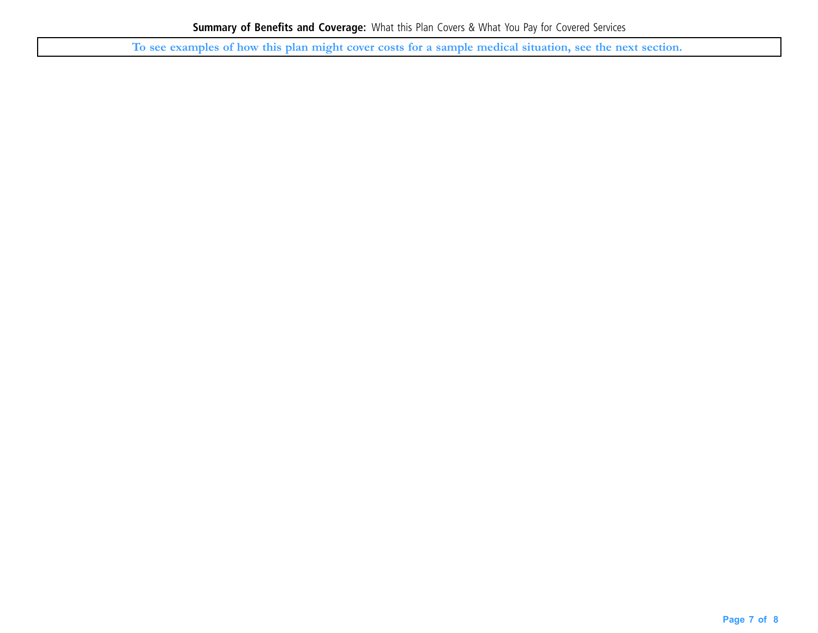To see examples of how this plan might cover costs for a sample medical situation, see the next section.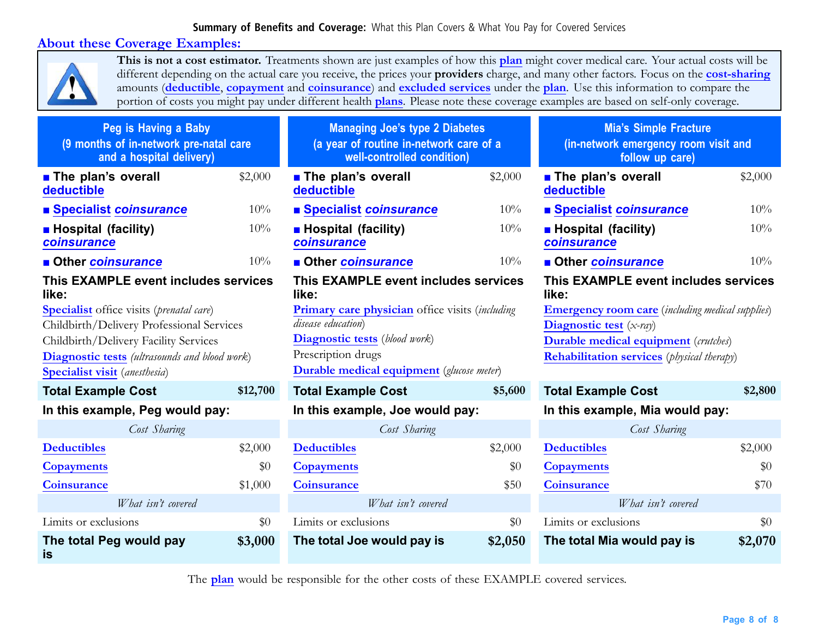### **About these Coverage Examples:**



**This is not <sup>a</sup> cost estimator.** Treatments shown are just examples of how this **plan** might cover medical care. Your actual costs will be different depending on the actual care you receive, the prices your **prov[iders](https://www.healthcare.gov/sbc-glossary/#provider)** charge, and many other factors. Focus on the **cost-sharing** amounts (**deductible**, **copayment** and **coinsurance**) and **excluded services** under the **plan**. Use this information to compare the portion of costs you might pay under different health **plans**. Please note these coverage examples are based on self-only coverage.

| Peg is Having a Baby<br>(9 months of in-network pre-natal care<br>and a hospital delivery) |          | <b>Managing Joe's type 2 Diabetes</b><br>(a year of routine in-network care of a<br>well-controlled condition) |         | <b>Mia's Simple Fracture</b><br>(in-network emergency room visit and<br>follow up care) |         |  |
|--------------------------------------------------------------------------------------------|----------|----------------------------------------------------------------------------------------------------------------|---------|-----------------------------------------------------------------------------------------|---------|--|
| <b>The plan's overall</b><br>deductible                                                    | \$2,000  | <b>The plan's overall</b><br>deductible                                                                        | \$2,000 | <b>The plan's overall</b><br>deductible                                                 | \$2,000 |  |
| ■ Specialist coinsurance                                                                   | 10%      | <b>Specialist coinsurance</b>                                                                                  | 10%     | ■ Specialist coinsurance                                                                | 10%     |  |
| <b>Hospital (facility)</b><br>coinsurance                                                  | 10%      | <b>Hospital (facility)</b><br>coinsurance                                                                      | 10%     | <b>Hospital (facility)</b><br>coinsurance                                               | 10%     |  |
| <b>Other coinsurance</b>                                                                   | 10%      | <b>Other coinsurance</b>                                                                                       | 10%     | <b>Other coinsurance</b>                                                                | 10%     |  |
| This EXAMPLE event includes services<br>like:                                              |          | This EXAMPLE event includes services<br>like:                                                                  |         | This EXAMPLE event includes services<br>like:                                           |         |  |
| <b>Specialist</b> office visits (prenatal care)                                            |          | <b>Primary care physician</b> office visits <i>(including</i> )                                                |         | <b>Emergency room care</b> (including medical supplies)                                 |         |  |
| Childbirth/Delivery Professional Services                                                  |          | disease education)                                                                                             |         | Diagnostic test $(x-ray)$                                                               |         |  |
| Childbirth/Delivery Facility Services                                                      |          | <b>Diagnostic tests</b> (blood work)<br><b>Durable medical equipment</b> (crutches)                            |         |                                                                                         |         |  |
| <b>Diagnostic tests</b> (ultrasounds and blood work)                                       |          | Prescription drugs<br><b>Rehabilitation services</b> ( <i>physical therapy</i> )                               |         |                                                                                         |         |  |
| <b>Specialist visit</b> (anesthesia)                                                       |          | <b>Durable medical equipment</b> (glucose meter)                                                               |         |                                                                                         |         |  |
| <b>Total Example Cost</b>                                                                  | \$12,700 | <b>Total Example Cost</b>                                                                                      | \$5,600 | <b>Total Example Cost</b>                                                               | \$2,800 |  |
| In this example, Peg would pay:                                                            |          | In this example, Joe would pay:                                                                                |         | In this example, Mia would pay:                                                         |         |  |
| Cost Sharing                                                                               |          | Cost Sharing                                                                                                   |         | Cost Sharing                                                                            |         |  |
| <b>Deductibles</b>                                                                         | \$2,000  | <b>Deductibles</b>                                                                                             | \$2,000 | <b>Deductibles</b>                                                                      | \$2,000 |  |
| <b>Copayments</b>                                                                          | \$0      | <b>Copayments</b>                                                                                              | \$0     | <b>Copayments</b>                                                                       | \$0     |  |
| <b>Coinsurance</b>                                                                         | \$1,000  | <b>Coinsurance</b>                                                                                             | \$50    | <b>Coinsurance</b>                                                                      | \$70    |  |
| What isn't covered                                                                         |          | What isn't covered                                                                                             |         | What isn't covered                                                                      |         |  |
| Limits or exclusions                                                                       | \$0      | Limits or exclusions                                                                                           | \$0     | Limits or exclusions                                                                    | \$0     |  |
| The total Peg would pay<br>is                                                              | \$3,000  | The total Joe would pay is                                                                                     | \$2,050 | The total Mia would pay is                                                              | \$2,070 |  |

The **plan** would be responsible for the other costs of these EXAMPLE covered services.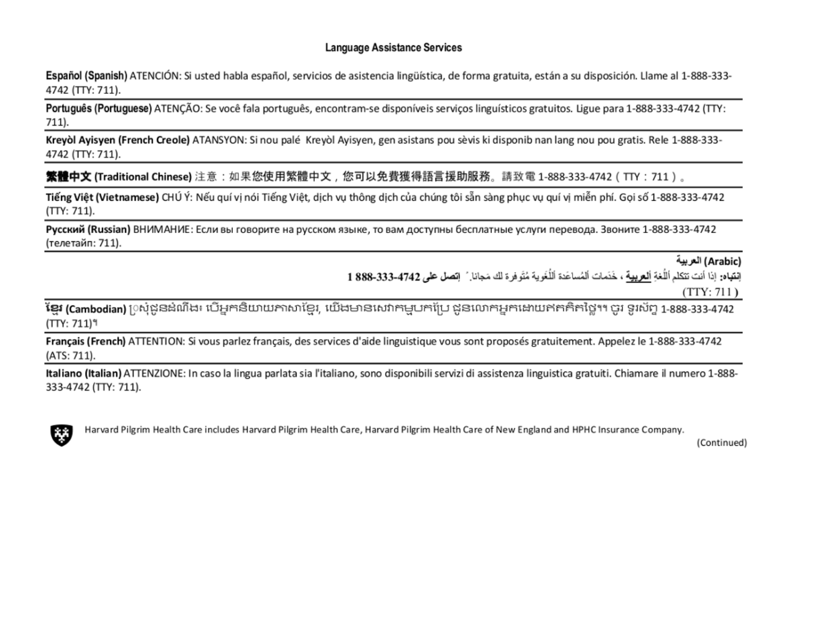#### Language Assistance Services

Español (Spanish) ATENCIÓN: Si usted habla español, servicios de asistencia lingüística, de forma gratuita, están a su disposición. Llame al 1-888-333-4742 (TTY: 711).

Português (Portuguese) ATENÇÃO: Se você fala português, encontram-se disponíveis serviços linguísticos gratuitos. Ligue para 1-888-333-4742 (TTY: 711).

Kreyòl Ayisyen (French Creole) ATANSYON: Si nou palé Kreyòl Ayisyen, gen asistans pou sèvis ki disponib nan lang nou pou gratis. Rele 1-888-333-4742 (TTY: 711).

**繁體中文 (Traditional Chinese)** 注意:如果您使用繁體中文,您可以免費獲得語言援助服務。請致電 1-888-333-4742(TTY:711)。

Tiếng Việt (Vietnamese) CHÚ Ý: Nếu quí vị nói Tiếng Việt, dịch vụ thông dịch của chúng tôi sẵn sàng phục vụ quí vị miễn phí. Gọi số 1-888-333-4742  $(TTY: 711).$ 

Русский (Russian) ВНИМАНИЕ: Если вы говорите на русском языке, то вам доступны бесплатные услуги перевода. Звоните 1-888-333-4742 (телетайп: 711).

(Arabic) العربية

إِنْقِيَاهِ: إذا أنت تتكلم أللُّغة ألع بِيهة ، خَدَمات ألمُساعَدَ ٱللُّغَوِية مُتَوفرة لك مَجانا ِ ً إتصل طي 4742-333-888 1

 $(TTY: 711)$ 

**ខែ្មរ (Cambodian)** [)ស្ងំជូនដំណឹង៖ បើអ្នកនិយាយភាសាខែ្មរ, យើងមានសេវាកម្មបកប្រែ ជូនលោកអ្នកដោយឥតគិតថ្លៃ។។ ចូរ ទូរស័ព្ទ 1-888-333-4742  $(TTY: 711)^9$ 

Français (French) ATTENTION: Si vous parlez français, des services d'aide linguistique vous sont proposés gratuitement. Appelez le 1-888-333-4742 (ATS: 711).

Italiano (Italian) ATTENZIONE: In caso la lingua parlata sia l'italiano, sono disponibili servizi di assistenza linguistica gratuiti. Chiamare il numero 1-888-333-4742 (TTY: 711).



Harvard Pilgrim Health Care includes Harvard Pilgrim Health Care, Harvard Pilgrim Health Care of New England and HPHC Insurance Company.

(Continued)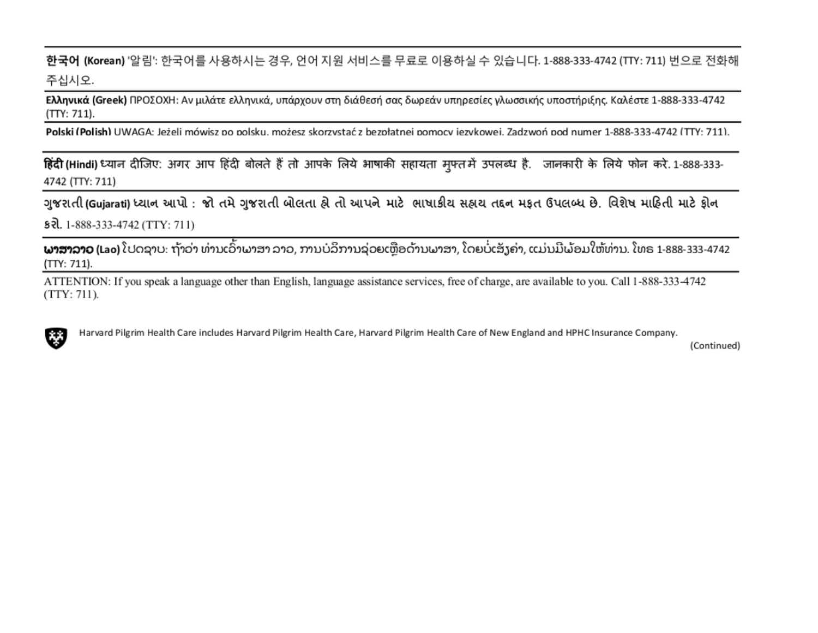한국어 (Korean) '알림': 한국어를 사용하시는 경우, 언어 지원 서비스를 무료로 이용하실 수 있습니다. 1-888-333-4742 (TTY: 711) 번으로 전화해 주십시오.

Ελληνικά (Greek) ΠΡΟΣΟΧΗ: Αν μιλάτε ελληνικά, υπάρχουν στη διάθεσή σας δωρεάν υπηρεσίες γλωσσικής υποστήριξης. Καλέστε 1-888-333-4742  $(TTY: 711).$ 

Polski (Polish) UWAGA: Jeżeli mówisz po polsku. możesz skorzystać z bezpłatnei pomocy iezykowei. Zadzwoń pod numer 1-888-333-4742 (TTY: 711).

हिंदी (Hindi) ध्यान दीजिए: अगर आप हिंदी बोलते हैं तो आपके लिये भाषाकी सहायता मुफ्तमें उपलब्ध है. जानकारी के लिये फोन करे. 1-888-333-4742 (TTY: 711)

ગુજરાતી (Gujarati) ધ્યાન આપો : જો તમે ગુજરાતી બોલતા હો તો આપને માટે ભાષાકીય સહ્યય તદ્દન મફત ઉપલબ્ધ છે. વિશેષ માહિતી માટે ફોન § री. 1-888-333-4742 (TTY: 711)

**ພາສາລາວ (Lao)** ໂປດຊາບ: ຖ້າວ່າ ທ່ານເວົ້າພາສາ ລາວ, ການບໍລິການຊ່ວຍເຫຼືອດ້ານພາສາ, ໂດຍບໍ່ເສັງຄ່າ, ແມ່ນມີພ້ອມໃຫ້ທ່ານ. ໂທຣ 1-888-333-4742 (TTY: 711).

ATTENTION: If you speak a language other than English, language assistance services, free of charge, are available to you. Call 1-888-333-4742  $(TTY: 711)$ .



Harvard Pilgrim Health Care includes Harvard Pilgrim Health Care, Harvard Pilgrim Health Care of New England and HPHC Insurance Company.

(Continued)